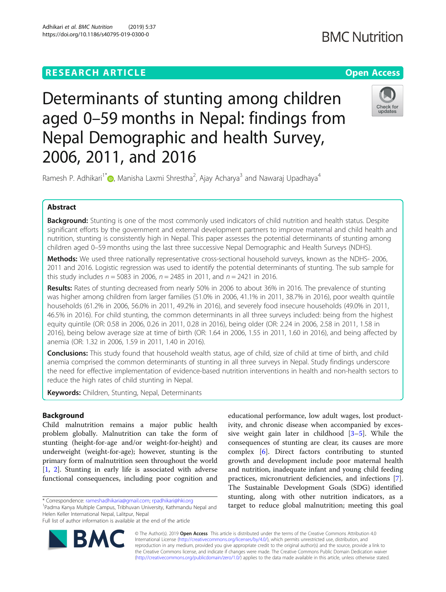# **RESEARCH ARTICLE Example 2014 12:30 The Contract of Contract ACCESS**

# **BMC Nutrition**

Determinants of stunting among children aged 0–59 months in Nepal: findings from Nepal Demographic and health Survey, 2006, 2011, and 2016



Ramesh P. Adhikari<sup>1[\\*](http://orcid.org/0000-0002-0896-2074)</sup> , Manisha Laxmi Shrestha<sup>2</sup>, Ajay Acharya<sup>3</sup> and Nawaraj Upadhaya<sup>4</sup>

# Abstract

**Background:** Stunting is one of the most commonly used indicators of child nutrition and health status. Despite significant efforts by the government and external development partners to improve maternal and child health and nutrition, stunting is consistently high in Nepal. This paper assesses the potential determinants of stunting among children aged 0–59 months using the last three successive Nepal Demographic and Health Surveys (NDHS).

Methods: We used three nationally representative cross-sectional household surveys, known as the NDHS- 2006, 2011 and 2016. Logistic regression was used to identify the potential determinants of stunting. The sub sample for this study includes  $n = 5083$  in 2006,  $n = 2485$  in 2011, and  $n = 2421$  in 2016.

Results: Rates of stunting decreased from nearly 50% in 2006 to about 36% in 2016. The prevalence of stunting was higher among children from larger families (51.0% in 2006, 41.1% in 2011, 38.7% in 2016), poor wealth quintile households (61.2% in 2006, 56.0% in 2011, 49.2% in 2016), and severely food insecure households (49.0% in 2011, 46.5% in 2016). For child stunting, the common determinants in all three surveys included: being from the highest equity quintile (OR: 0.58 in 2006, 0.26 in 2011, 0.28 in 2016), being older (OR: 2.24 in 2006, 2.58 in 2011, 1.58 in 2016), being below average size at time of birth (OR: 1.64 in 2006, 1.55 in 2011, 1.60 in 2016), and being affected by anemia (OR: 1.32 in 2006, 1.59 in 2011, 1.40 in 2016).

**Conclusions:** This study found that household wealth status, age of child, size of child at time of birth, and child anemia comprised the common determinants of stunting in all three surveys in Nepal. Study findings underscore the need for effective implementation of evidence-based nutrition interventions in health and non-health sectors to reduce the high rates of child stunting in Nepal.

**Keywords:** Children, Stunting, Nepal, Determinants

# Background

Child malnutrition remains a major public health problem globally. Malnutrition can take the form of stunting (height-for-age and/or weight-for-height) and underweight (weight-for-age); however, stunting is the primary form of malnutrition seen throughout the world [[1,](#page-8-0) [2\]](#page-8-0). Stunting in early life is associated with adverse functional consequences, including poor cognition and

<sup>1</sup>Padma Kanya Multiple Campus, Tribhuvan University, Kathmandu Nepal and Helen Keller International Nepal, Lalitpur, Nepal

**BM** 



© The Author(s). 2019 **Open Access** This article is distributed under the terms of the Creative Commons Attribution 4.0 International License [\(http://creativecommons.org/licenses/by/4.0/](http://creativecommons.org/licenses/by/4.0/)), which permits unrestricted use, distribution, and reproduction in any medium, provided you give appropriate credit to the original author(s) and the source, provide a link to the Creative Commons license, and indicate if changes were made. The Creative Commons Public Domain Dedication waiver [\(http://creativecommons.org/publicdomain/zero/1.0/](http://creativecommons.org/publicdomain/zero/1.0/)) applies to the data made available in this article, unless otherwise stated.

<sup>\*</sup> Correspondence: [rameshadhikaria@gmail.com;](mailto:rameshadhikaria@gmail.com) [rpadhikari@hki.org](mailto:rpadhikari@hki.org) <sup>1</sup>

Full list of author information is available at the end of the article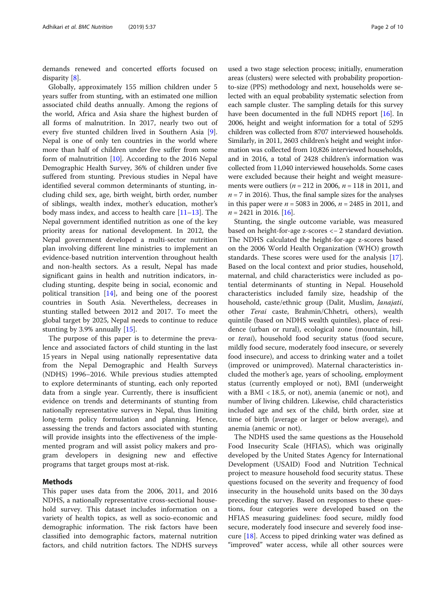demands renewed and concerted efforts focused on disparity [[8\]](#page-8-0).

Globally, approximately 155 million children under 5 years suffer from stunting, with an estimated one million associated child deaths annually. Among the regions of the world, Africa and Asia share the highest burden of all forms of malnutrition. In 2017, nearly two out of every five stunted children lived in Southern Asia [\[9](#page-8-0)]. Nepal is one of only ten countries in the world where more than half of children under five suffer from some form of malnutrition [\[10\]](#page-8-0). According to the 2016 Nepal Demographic Health Survey, 36% of children under five suffered from stunting. Previous studies in Nepal have identified several common determinants of stunting, including child sex, age, birth weight, birth order, number of siblings, wealth index, mother's education, mother's body mass index, and access to health care [\[11](#page-8-0)–[13\]](#page-8-0). The Nepal government identified nutrition as one of the key priority areas for national development. In 2012, the Nepal government developed a multi-sector nutrition plan involving different line ministries to implement an evidence-based nutrition intervention throughout health and non-health sectors. As a result, Nepal has made significant gains in health and nutrition indicators, including stunting, despite being in social, economic and political transition  $[14]$  $[14]$ , and being one of the poorest countries in South Asia. Nevertheless, decreases in stunting stalled between 2012 and 2017. To meet the global target by 2025, Nepal needs to continue to reduce stunting by 3.9% annually [[15\]](#page-8-0).

The purpose of this paper is to determine the prevalence and associated factors of child stunting in the last 15 years in Nepal using nationally representative data from the Nepal Demographic and Health Surveys (NDHS) 1996–2016. While previous studies attempted to explore determinants of stunting, each only reported data from a single year. Currently, there is insufficient evidence on trends and determinants of stunting from nationally representative surveys in Nepal, thus limiting long-term policy formulation and planning. Hence, assessing the trends and factors associated with stunting will provide insights into the effectiveness of the implemented program and will assist policy makers and program developers in designing new and effective programs that target groups most at-risk.

### Methods

This paper uses data from the 2006, 2011, and 2016 NDHS, a nationally representative cross-sectional household survey. This dataset includes information on a variety of health topics, as well as socio-economic and demographic information. The risk factors have been classified into demographic factors, maternal nutrition factors, and child nutrition factors. The NDHS surveys

used a two stage selection process; initially, enumeration areas (clusters) were selected with probability proportionto-size (PPS) methodology and next, households were selected with an equal probability systematic selection from each sample cluster. The sampling details for this survey have been documented in the full NDHS report [\[16\]](#page-8-0). In 2006, height and weight information for a total of 5295 children was collected from 8707 interviewed households. Similarly, in 2011, 2603 children's height and weight information was collected from 10,826 interviewed households, and in 2016, a total of 2428 children's information was collected from 11,040 interviewed households. Some cases were excluded because their height and weight measurements were outliers ( $n = 212$  in 2006,  $n = 118$  in 2011, and  $n = 7$  in 2016). Thus, the final sample sizes for the analyses in this paper were  $n = 5083$  in 2006,  $n = 2485$  in 2011, and  $n = 2421$  in 2016. [[16\]](#page-8-0).

Stunting, the single outcome variable, was measured based on height-for-age z-scores <− 2 standard deviation. The NDHS calculated the height-for-age z-scores based on the 2006 World Health Organization (WHO) growth standards. These scores were used for the analysis [\[17](#page-8-0)]. Based on the local context and prior studies, household, maternal, and child characteristics were included as potential determinants of stunting in Nepal. Household characteristics included family size, headship of the household, caste/ethnic group (Dalit, Muslim, Janajati, other Terai caste, Brahmin/Chhetri, others), wealth quintile (based on NDHS wealth quintiles), place of residence (urban or rural), ecological zone (mountain, hill, or terai), household food security status (food secure, mildly food secure, moderately food insecure, or severely food insecure), and access to drinking water and a toilet (improved or unimproved). Maternal characteristics included the mother's age, years of schooling, employment status (currently employed or not), BMI (underweight with a BMI < 18.5, or not), anemia (anemic or not), and number of living children. Likewise, child characteristics included age and sex of the child, birth order, size at time of birth (average or larger or below average), and anemia (anemic or not).

The NDHS used the same questions as the Household Food Insecurity Scale (HFIAS), which was originally developed by the United States Agency for International Development (USAID) Food and Nutrition Technical project to measure household food security status. These questions focused on the severity and frequency of food insecurity in the household units based on the 30 days preceding the survey. Based on responses to these questions, four categories were developed based on the HFIAS measuring guidelines: food secure, mildly food secure, moderately food insecure and severely food insecure  $[18]$  $[18]$ . Access to piped drinking water was defined as "improved" water access, while all other sources were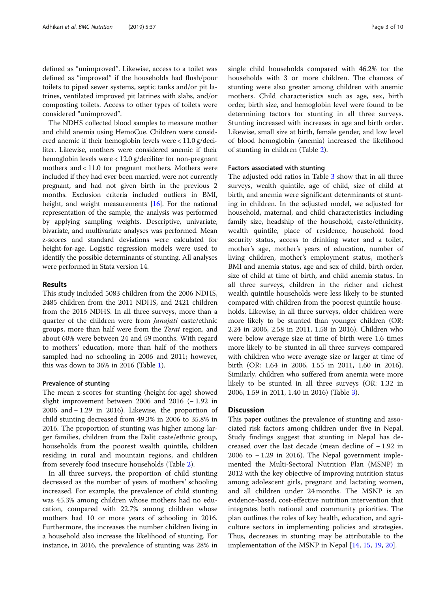defined as "unimproved". Likewise, access to a toilet was defined as "improved" if the households had flush/pour toilets to piped sewer systems, septic tanks and/or pit latrines, ventilated improved pit latrines with slabs, and/or composting toilets. Access to other types of toilets were considered "unimproved".

The NDHS collected blood samples to measure mother and child anemia using HemoCue. Children were considered anemic if their hemoglobin levels were < 11.0 g/deciliter. Likewise, mothers were considered anemic if their hemoglobin levels were < 12.0 g/deciliter for non-pregnant mothers and < 11.0 for pregnant mothers. Mothers were included if they had ever been married, were not currently pregnant, and had not given birth in the previous 2 months. Exclusion criteria included outliers in BMI, height, and weight measurements [[16\]](#page-8-0). For the national representation of the sample, the analysis was performed by applying sampling weights. Descriptive, univariate, bivariate, and multivariate analyses was performed. Mean z-scores and standard deviations were calculated for height-for-age. Logistic regression models were used to identify the possible determinants of stunting. All analyses were performed in Stata version 14.

### Results

This study included 5083 children from the 2006 NDHS, 2485 children from the 2011 NDHS, and 2421 children from the 2016 NDHS. In all three surveys, more than a quarter of the children were from Janajati caste/ethnic groups, more than half were from the Terai region, and about 60% were between 24 and 59 months. With regard to mothers' education, more than half of the mothers sampled had no schooling in 2006 and 2011; however, this was down to 36% in 2016 (Table [1\)](#page-3-0).

#### Prevalence of stunting

The mean z-scores for stunting (height-for-age) showed slight improvement between 2006 and 2016 (− 1.92 in 2006 and − 1.29 in 2016). Likewise, the proportion of child stunting decreased from 49.3% in 2006 to 35.8% in 2016. The proportion of stunting was higher among larger families, children from the Dalit caste/ethnic group, households from the poorest wealth quintile, children residing in rural and mountain regions, and children from severely food insecure households (Table [2\)](#page-4-0).

In all three surveys, the proportion of child stunting decreased as the number of years of mothers' schooling increased. For example, the prevalence of child stunting was 45.3% among children whose mothers had no education, compared with 22.7% among children whose mothers had 10 or more years of schooling in 2016. Furthermore, the increases the number children living in a household also increase the likelihood of stunting. For instance, in 2016, the prevalence of stunting was 28% in single child households compared with 46.2% for the households with 3 or more children. The chances of stunting were also greater among children with anemic mothers. Child characteristics such as age, sex, birth order, birth size, and hemoglobin level were found to be determining factors for stunting in all three surveys. Stunting increased with increases in age and birth order. Likewise, small size at birth, female gender, and low level of blood hemoglobin (anemia) increased the likelihood of stunting in children (Table [2\)](#page-4-0).

#### Factors associated with stunting

The adjusted odd ratios in Table [3](#page-6-0) show that in all three surveys, wealth quintile, age of child, size of child at birth, and anemia were significant determinants of stunting in children. In the adjusted model, we adjusted for household, maternal, and child characteristics including family size, headship of the household, caste/ethnicity, wealth quintile, place of residence, household food security status, access to drinking water and a toilet, mother's age, mother's years of education, number of living children, mother's employment status, mother's BMI and anemia status, age and sex of child, birth order, size of child at time of birth, and child anemia status. In all three surveys, children in the richer and richest wealth quintile households were less likely to be stunted compared with children from the poorest quintile households. Likewise, in all three surveys, older children were more likely to be stunted than younger children (OR: 2.24 in 2006, 2.58 in 2011, 1.58 in 2016). Children who were below average size at time of birth were 1.6 times more likely to be stunted in all three surveys compared with children who were average size or larger at time of birth (OR: 1.64 in 2006, 1.55 in 2011, 1.60 in 2016). Similarly, children who suffered from anemia were more likely to be stunted in all three surveys (OR: 1.32 in 2006, 1.59 in 2011, 1.40 in 2016) (Table [3\)](#page-6-0).

#### **Discussion**

This paper outlines the prevalence of stunting and associated risk factors among children under five in Nepal. Study findings suggest that stunting in Nepal has decreased over the last decade (mean decline of − 1.92 in 2006 to − 1.29 in 2016). The Nepal government implemented the Multi-Sectoral Nutrition Plan (MSNP) in 2012 with the key objective of improving nutrition status among adolescent girls, pregnant and lactating women, and all children under 24 months. The MSNP is an evidence-based, cost-effective nutrition intervention that integrates both national and community priorities. The plan outlines the roles of key health, education, and agriculture sectors in implementing policies and strategies. Thus, decreases in stunting may be attributable to the implementation of the MSNP in Nepal [\[14](#page-8-0), [15,](#page-8-0) [19,](#page-8-0) [20\]](#page-8-0).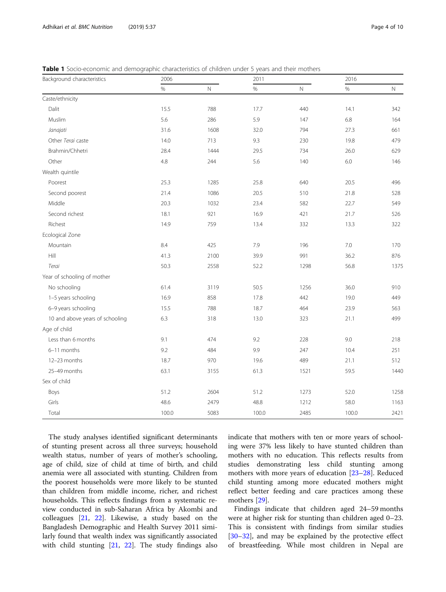<span id="page-3-0"></span>

|  | <b>Table 1</b> Socio-economic and demographic characteristics of children under 5 years and their mothers |  |
|--|-----------------------------------------------------------------------------------------------------------|--|
|--|-----------------------------------------------------------------------------------------------------------|--|

| Background characteristics      | 2006  |              | 2011  |             | 2016  |             |
|---------------------------------|-------|--------------|-------|-------------|-------|-------------|
|                                 | $\%$  | $\mathsf{N}$ | $\%$  | $\mathbb N$ | $\%$  | $\mathbb N$ |
| Caste/ethnicity                 |       |              |       |             |       |             |
| Dalit                           | 15.5  | 788          | 17.7  | 440         | 14.1  | 342         |
| Muslim                          | 5.6   | 286          | 5.9   | 147         | 6.8   | 164         |
| Janajati                        | 31.6  | 1608         | 32.0  | 794         | 27.3  | 661         |
| Other Terai caste               | 14.0  | 713          | 9.3   | 230         | 19.8  | 479         |
| Brahmin/Chhetri                 | 28.4  | 1444         | 29.5  | 734         | 26.0  | 629         |
| Other                           | 4.8   | 244          | 5.6   | 140         | 6.0   | 146         |
| Wealth quintile                 |       |              |       |             |       |             |
| Poorest                         | 25.3  | 1285         | 25.8  | 640         | 20.5  | 496         |
| Second poorest                  | 21.4  | 1086         | 20.5  | 510         | 21.8  | 528         |
| Middle                          | 20.3  | 1032         | 23.4  | 582         | 22.7  | 549         |
| Second richest                  | 18.1  | 921          | 16.9  | 421         | 21.7  | 526         |
| Richest                         | 14.9  | 759          | 13.4  | 332         | 13.3  | 322         |
| Ecological Zone                 |       |              |       |             |       |             |
| Mountain                        | 8.4   | 425          | 7.9   | 196         | 7.0   | 170         |
| Hill                            | 41.3  | 2100         | 39.9  | 991         | 36.2  | 876         |
| Terai                           | 50.3  | 2558         | 52.2  | 1298        | 56.8  | 1375        |
| Year of schooling of mother     |       |              |       |             |       |             |
| No schooling                    | 61.4  | 3119         | 50.5  | 1256        | 36.0  | 910         |
| 1-5 years schooling             | 16.9  | 858          | 17.8  | 442         | 19.0  | 449         |
| 6-9 years schooling             | 15.5  | 788          | 18.7  | 464         | 23.9  | 563         |
| 10 and above years of schooling | 6.3   | 318          | 13.0  | 323         | 21.1  | 499         |
| Age of child                    |       |              |       |             |       |             |
| Less than 6 months              | 9.1   | 474          | 9.2   | 228         | 9.0   | 218         |
| 6-11 months                     | 9.2   | 484          | 9.9   | 247         | 10.4  | 251         |
| 12-23 months                    | 18.7  | 970          | 19.6  | 489         | 21.1  | 512         |
| 25-49 months                    | 63.1  | 3155         | 61.3  | 1521        | 59.5  | 1440        |
| Sex of child                    |       |              |       |             |       |             |
| Boys                            | 51.2  | 2604         | 51.2  | 1273        | 52.0  | 1258        |
| Girls                           | 48.6  | 2479         | 48.8  | 1212        | 58.0  | 1163        |
| Total                           | 100.0 | 5083         | 100.0 | 2485        | 100.0 | 2421        |

The study analyses identified significant determinants of stunting present across all three surveys; household wealth status, number of years of mother's schooling, age of child, size of child at time of birth, and child anemia were all associated with stunting. Children from the poorest households were more likely to be stunted than children from middle income, richer, and richest households. This reflects findings from a systematic review conducted in sub-Saharan Africa by Akombi and colleagues [[21,](#page-8-0) [22](#page-8-0)]. Likewise, a study based on the Bangladesh Demographic and Health Survey 2011 similarly found that wealth index was significantly associated with child stunting [\[21](#page-8-0), [22\]](#page-8-0). The study findings also indicate that mothers with ten or more years of schooling were 37% less likely to have stunted children than mothers with no education. This reflects results from studies demonstrating less child stunting among mothers with more years of education [\[23](#page-8-0)–[28\]](#page-8-0). Reduced child stunting among more educated mothers might reflect better feeding and care practices among these mothers [\[29](#page-8-0)].

Findings indicate that children aged 24–59 months were at higher risk for stunting than children aged 0–23. This is consistent with findings from similar studies [[30](#page-8-0)–[32](#page-8-0)], and may be explained by the protective effect of breastfeeding. While most children in Nepal are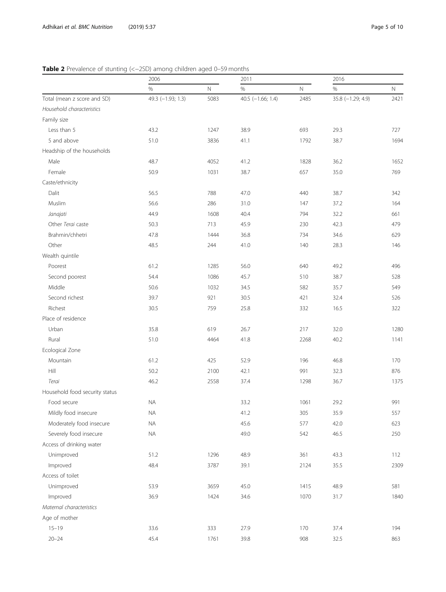<span id="page-4-0"></span>

|                                | 2006              |            | 2011                |             | 2016              |             |
|--------------------------------|-------------------|------------|---------------------|-------------|-------------------|-------------|
|                                | $\%$              | $\hbox{N}$ | $\%$                | $\mathbb N$ | $\%$              | $\mathbb N$ |
| Total (mean z score and SD)    | 49.3 (-1.93; 1.3) | 5083       | 40.5 $(-1.66; 1.4)$ | 2485        | 35.8 (-1.29; 4.9) | 2421        |
| Household characteristics      |                   |            |                     |             |                   |             |
| Family size                    |                   |            |                     |             |                   |             |
| Less than 5                    | 43.2              | 1247       | 38.9                | 693         | 29.3              | 727         |
| 5 and above                    | 51.0              | 3836       | 41.1                | 1792        | 38.7              | 1694        |
| Headship of the households     |                   |            |                     |             |                   |             |
| Male                           | 48.7              | 4052       | 41.2                | 1828        | 36.2              | 1652        |
| Female                         | 50.9              | 1031       | 38.7                | 657         | 35.0              | 769         |
| Caste/ethnicity                |                   |            |                     |             |                   |             |
| Dalit                          | 56.5              | 788        | 47.0                | 440         | 38.7              | 342         |
| Muslim                         | 56.6              | 286        | 31.0                | 147         | 37.2              | 164         |
| Janajati                       | 44.9              | 1608       | 40.4                | 794         | 32.2              | 661         |
| Other Terai caste              | 50.3              | 713        | 45.9                | 230         | 42.3              | 479         |
| Brahmin/chhetri                | 47.8              | 1444       | 36.8                | 734         | 34.6              | 629         |
| Other                          | 48.5              | 244        | 41.0                | 140         | 28.3              | 146         |
| Wealth quintile                |                   |            |                     |             |                   |             |
| Poorest                        | 61.2              | 1285       | 56.0                | 640         | 49.2              | 496         |
| Second poorest                 | 54.4              | 1086       | 45.7                | 510         | 38.7              | 528         |
| Middle                         | 50.6              | 1032       | 34.5                | 582         | 35.7              | 549         |
| Second richest                 | 39.7              | 921        | 30.5                | 421         | 32.4              | 526         |
| Richest                        | 30.5              | 759        | 25.8                | 332         | 16.5              | 322         |
| Place of residence             |                   |            |                     |             |                   |             |
| Urban                          | 35.8              | 619        | 26.7                | 217         | 32.0              | 1280        |
| Rural                          | 51.0              | 4464       | 41.8                | 2268        | 40.2              | 1141        |
| Ecological Zone                |                   |            |                     |             |                   |             |
| Mountain                       | 61.2              | 425        | 52.9                | 196         | 46.8              | 170         |
| Hill                           | 50.2              | 2100       | 42.1                | 991         | 32.3              | 876         |
| Terai                          | 46.2              | 2558       | 37.4                | 1298        | 36.7              | 1375        |
| Household food security status |                   |            |                     |             |                   |             |
| Food secure                    | <b>NA</b>         |            | 33.2                | 1061        | 29.2              | 991         |
| Mildly food insecure           | <b>NA</b>         |            | 41.2                | 305         | 35.9              | 557         |
| Moderately food insecure       | $\sf{NA}$         |            | 45.6                | 577         | 42.0              | 623         |
| Severely food insecure         | $\sf NA$          |            | 49.0                | 542         | 46.5              | 250         |
| Access of drinking water       |                   |            |                     |             |                   |             |
| Unimproved                     | 51.2              | 1296       | 48.9                | 361         | 43.3              | 112         |
| Improved                       | 48.4              | 3787       | 39.1                | 2124        | 35.5              | 2309        |
| Access of toilet               |                   |            |                     |             |                   |             |
| Unimproved                     | 53.9              | 3659       | 45.0                | 1415        | 48.9              | 581         |
| Improved                       | 36.9              | 1424       | 34.6                | 1070        | 31.7              | 1840        |
| Maternal characteristics       |                   |            |                     |             |                   |             |
| Age of mother                  |                   |            |                     |             |                   |             |
| $15 - 19$                      | 33.6              | 333        | 27.9                | 170         | 37.4              | 194         |
| $20 - 24$                      | 45.4              | 1761       | 39.8                | 908         | 32.5              | 863         |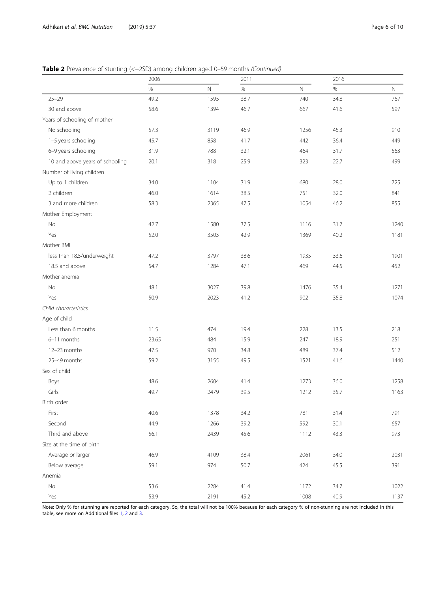|                                 | 2006  |              | 2011 |             | 2016 |              |
|---------------------------------|-------|--------------|------|-------------|------|--------------|
|                                 | $\%$  | $\mathsf{N}$ | $\%$ | $\mathbb N$ | $\%$ | $\mathsf{N}$ |
| $25 - 29$                       | 49.2  | 1595         | 38.7 | 740         | 34.8 | 767          |
| 30 and above                    | 58.6  | 1394         | 46.7 | 667         | 41.6 | 597          |
| Years of schooling of mother    |       |              |      |             |      |              |
| No schooling                    | 57.3  | 3119         | 46.9 | 1256        | 45.3 | 910          |
| 1-5 years schooling             | 45.7  | 858          | 41.7 | 442         | 36.4 | 449          |
| 6-9 years schooling             | 31.9  | 788          | 32.1 | 464         | 31.7 | 563          |
| 10 and above years of schooling | 20.1  | 318          | 25.9 | 323         | 22.7 | 499          |
| Number of living children       |       |              |      |             |      |              |
| Up to 1 children                | 34.0  | 1104         | 31.9 | 680         | 28.0 | 725          |
| 2 children                      | 46.0  | 1614         | 38.5 | 751         | 32.0 | 841          |
| 3 and more children             | 58.3  | 2365         | 47.5 | 1054        | 46.2 | 855          |
| Mother Employment               |       |              |      |             |      |              |
| No                              | 42.7  | 1580         | 37.5 | 1116        | 31.7 | 1240         |
| Yes                             | 52.0  | 3503         | 42.9 | 1369        | 40.2 | 1181         |
| Mother BMI                      |       |              |      |             |      |              |
| less than 18.5/underweight      | 47.2  | 3797         | 38.6 | 1935        | 33.6 | 1901         |
| 18.5 and above                  | 54.7  | 1284         | 47.1 | 469         | 44.5 | 452          |
| Mother anemia                   |       |              |      |             |      |              |
| No                              | 48.1  | 3027         | 39.8 | 1476        | 35.4 | 1271         |
| Yes                             | 50.9  | 2023         | 41.2 | 902         | 35.8 | 1074         |
| Child characteristics           |       |              |      |             |      |              |
| Age of child                    |       |              |      |             |      |              |
| Less than 6 months              | 11.5  | 474          | 19.4 | 228         | 13.5 | 218          |
| 6-11 months                     | 23.65 | 484          | 15.9 | 247         | 18.9 | 251          |
| 12-23 months                    | 47.5  | 970          | 34.8 | 489         | 37.4 | 512          |
| 25-49 months                    | 59.2  | 3155         | 49.5 | 1521        | 41.6 | 1440         |
| Sex of child                    |       |              |      |             |      |              |
| Boys                            | 48.6  | 2604         | 41.4 | 1273        | 36.0 | 1258         |
| Girls                           | 49.7  | 2479         | 39.5 | 1212        | 35.7 | 1163         |
| Birth order                     |       |              |      |             |      |              |
| First                           | 40.6  | 1378         | 34.2 | 781         | 31.4 | 791          |
| Second                          | 44.9  | 1266         | 39.2 | 592         | 30.1 | 657          |
| Third and above                 | 56.1  | 2439         | 45.6 | 1112        | 43.3 | 973          |
| Size at the time of birth       |       |              |      |             |      |              |
| Average or larger               | 46.9  | 4109         | 38.4 | 2061        | 34.0 | 2031         |
| Below average                   | 59.1  | 974          | 50.7 | 424         | 45.5 | 391          |
| Anemia                          |       |              |      |             |      |              |
| No                              | 53.6  | 2284         | 41.4 | 1172        | 34.7 | 1022         |
| Yes                             | 53.9  | 2191         | 45.2 | 1008        | 40.9 | 1137         |

Note: Only % for stunning are reported for each category. So, the total will not be 100% because for each category % of non-stunning are not included in this table, see more on Additional files [1,](#page-7-0) [2](#page-7-0) and [3.](#page-7-0)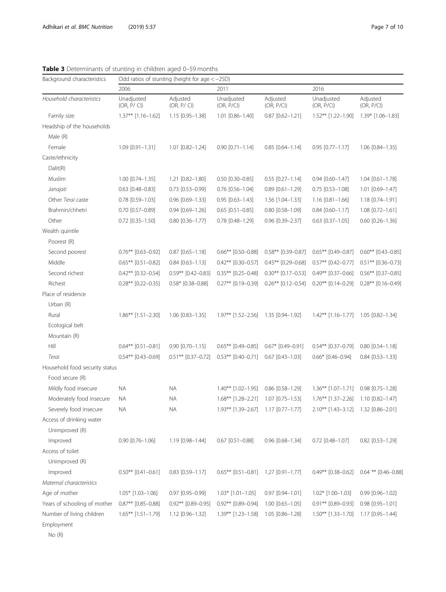| Background characteristics     | Odd ratios of stunting (height for age $<-2SD$ ) |                          |                          |                        |                          |                           |  |
|--------------------------------|--------------------------------------------------|--------------------------|--------------------------|------------------------|--------------------------|---------------------------|--|
| Household characteristics      | 2006                                             |                          | 2011                     |                        | 2016                     |                           |  |
|                                | Unadjusted<br>(OR, P / CI)                       | Adjusted<br>(OR, P / CI) | Unadjusted<br>(OR, P/CI) | Adjusted<br>(OR, P/CI) | Unadjusted<br>(OR, P/CI) | Adjusted<br>(OR, P/CI)    |  |
| Family size                    | $1.37**$ [1.16-1.62]                             | 1.15 [0.95-1.38]         | $1.01$ $[0.86 - 1.40]$   | $0.87$ $[0.62 - 1.21]$ | 1.52** [1.22-1.90]       | $1.39*$ $[1.06-1.83]$     |  |
| Headship of the households     |                                                  |                          |                          |                        |                          |                           |  |
| Male (R)                       |                                                  |                          |                          |                        |                          |                           |  |
| Female                         | $1.09$ $[0.91 - 1.31]$                           | 1.01 [0.82-1.24]         | $0.90$ $[0.71 - 1.14]$   | $0.85$ $[0.64 - 1.14]$ | $0.95$ $[0.77 - 1.17]$   | 1.06 [0.84-1.35]          |  |
| Caste/ethnicity                |                                                  |                          |                          |                        |                          |                           |  |
| Dalit(R)                       |                                                  |                          |                          |                        |                          |                           |  |
| Muslim                         | $1.00$ $[0.74 - 1.35]$                           | 1.21 [0.82-1.80]         | $0.50$ [0.30-0.85]       | $0.55$ $[0.27 - 1.14]$ | $0.94$ $[0.60 - 1.47]$   | $1.04$ [0.61-1.78]        |  |
| Janajati                       | $0.63$ $[0.48 - 0.83]$                           | $0.73$ $[0.53 - 0.99]$   | $0.76$ [0.56-1.04]       | $0.89$ $[0.61 - 1.29]$ | $0.75$ $[0.53 - 1.08]$   | 1.01 [0.69-1.47]          |  |
| Other Terai caste              | $0.78$ [0.59-1.03]                               | $0.96$ [0.69-1.33]       | $0.95$ $[0.63 - 1.43]$   | 1.56 [1.04-1.33]       | $1.16$ [0.81-1.66]       | 1.18 [0.74-1.91]          |  |
| Brahmin/chhetri                | $0.70$ $[0.57 - 0.89]$                           | $0.94$ $[0.69 - 1.26]$   | $0.65$ [0.51-0.85]       | $0.80$ $[0.58 - 1.09]$ | $0.84$ [0.60-1.17]       | 1.08 [0.72-1.61]          |  |
| Other                          | $0.72$ [0.35-1.50]                               | $0.80$ $[0.36 - 1.77]$   | $0.78$ $[0.48 - 1.29]$   | $0.96$ $[0.39 - 2.37]$ | $0.63$ $[0.37 - 1.05]$   | $0.60$ $[0.26 - 1.36]$    |  |
| Wealth quintile                |                                                  |                          |                          |                        |                          |                           |  |
| Poorest (R)                    |                                                  |                          |                          |                        |                          |                           |  |
| Second poorest                 | $0.76**$ [0.63-0.92]                             | $0.87$ $[0.65 - 1.18]$   | $0.66***$ $[0.50-0.88]$  | $0.58**$ [0.39-0.87]   | $0.65**$ [0.49-0.87]     | $0.60**$ [0.43-0.85]      |  |
| Middle                         | $0.65***$ [0.51-0.82]                            | $0.84$ [0.63-1.13]       | $0.42**$ [0.30-0.57]     | $0.45**$ [0.29-0.68]   | $0.57**$ [0.42-0.77]     | $0.51***$ [0.36-0.73]     |  |
| Second richest                 | $0.42**$ [0.32-0.54]                             | $0.59**$ [0.42-0.83]     | $0.35***$ [0.25-0.48]    | $0.30**$ [0.17-0.53]   | $0.49**$ [0.37-0.66]     | $0.56**$ [0.37-0.85]      |  |
| Richest                        | $0.28**$ [0.22-0.35]                             | $0.58*$ [0.38-0.88]      | $0.27**$ [0.19-0.39]     | $0.26***$ [0.12-0.54]  | $0.20**$ [0.14-0.29]     | $0.28**$ [0.16-0.49]      |  |
| Place of residence             |                                                  |                          |                          |                        |                          |                           |  |
| Urban (R)                      |                                                  |                          |                          |                        |                          |                           |  |
| Rural                          | $1.86***$ [1.51-2.30]                            | $1.06$ $[0.83 - 1.35]$   | $1.97***$ $[1.52-2.56]$  | 1.35 [0.94-1.92]       | $1.42***$ $[1.16-1.77]$  | 1.05 [0.82-1.34]          |  |
| Ecological belt                |                                                  |                          |                          |                        |                          |                           |  |
| Mountain (R)                   |                                                  |                          |                          |                        |                          |                           |  |
| Hill                           | $0.64***$ [0.51-0.81]                            | $0.90$ $[0.70 - 1.15]$   | $0.65***$ [0.49-0.85]    | $0.67*$ [0.49-0.91]    | $0.54***$ $[0.37-0.79]$  | $0.80$ $[0.54 - 1.18]$    |  |
| Terai                          | $0.54***$ [0.43-0.69]                            | $0.51***$ [0.37-0.72]    | $0.53***$ [0.40-0.71]    | $0.67$ [0.43-1.03]     | $0.66*$ [0.46-0.94]      | $0.84$ [0.53-1.33]        |  |
| Household food security status |                                                  |                          |                          |                        |                          |                           |  |
| Food secure (R)                |                                                  |                          |                          |                        |                          |                           |  |
| Mildly food insecure           | ΝA                                               | ΝA                       | $1.40***$ $[1.02-1.95]$  | $0.86$ [0.58-1.29]     | $1.36***$ $[1.07-1.71]$  | $0.98$ $[0.75 - 1.28]$    |  |
| Moderately food insecure       | ΝA                                               | ΝA                       | $1.68***$ [1.28-2.21]    | 1.07 [0.75-1.53]       | $1.76***$ [1.37-2.26]    | $1.10$ $[0.82 - 1.47]$    |  |
| Severely food insecure         | <b>NA</b>                                        | <b>NA</b>                | 1.93** [1.39-2.67]       | 1.17 [0.77-1.77]       | 2.10** [1.43-3.12]       | 1.32 [0.86-2.01]          |  |
| Access of drinking water       |                                                  |                          |                          |                        |                          |                           |  |
| Unimproved (R)                 |                                                  |                          |                          |                        |                          |                           |  |
| Improved                       | $0.90$ $[0.76 - 1.06]$                           | 1.19 [0.98-1.44]         | $0.67$ [0.51-0.88]       | $0.96$ $[0.68 - 1.34]$ | $0.72$ [0.48-1.07]       | $0.82$ [0.53-1.29]        |  |
| Access of toilet               |                                                  |                          |                          |                        |                          |                           |  |
| Unimproved (R)                 |                                                  |                          |                          |                        |                          |                           |  |
| Improved                       | $0.50**$ [0.41-0.61]                             | $0.83$ [0.59-1.17]       | $0.65***$ $[0.51-0.81]$  | 1.27 [0.91-1.77]       | $0.49**$ [0.38-0.62]     | $0.64$ ** $[0.46 - 0.88]$ |  |
| Maternal characteristics       |                                                  |                          |                          |                        |                          |                           |  |
| Age of mother                  | $1.05*$ [1.03-1.06]                              | 0.97 [0.95-0.99]         | $1.03*$ [1.01-1.05]      | $0.97$ $[0.94 - 1.01]$ | $1.02*$ [1.00-1.03]      | 0.99 [0.96-1.02]          |  |
| Years of schooling of mother   | $0.87**$ [0.85-0.88]                             | $0.92**$ [0.89-0.95]     | $0.92**$ [0.89-0.94]     | $1.00$ $[0.65 - 1.05]$ | $0.91**$ [0.89-0.93]     | $0.98$ $[0.95 - 1.01]$    |  |
| Number of living children      | $1.65***$ [1.51-1.79]                            | 1.12 [0.96-1.32]         | $1.39***$ $[1.23-1.58]$  | 1.05 [0.86-1.28]       | $1.50***$ [1.33-1.70]    | 1.17 [0.95-1.44]          |  |
| Employment<br>No(R)            |                                                  |                          |                          |                        |                          |                           |  |

<span id="page-6-0"></span>Table 3 Determinants of stunting in children aged 0-59 months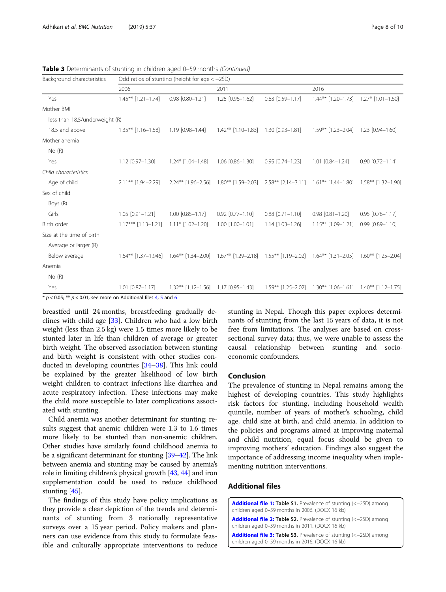| Background characteristics                                                            | Odd ratios of stunting (height for age $<-2SD$ ) |                       |                                                                      |                         |                                                                                                 |                         |  |
|---------------------------------------------------------------------------------------|--------------------------------------------------|-----------------------|----------------------------------------------------------------------|-------------------------|-------------------------------------------------------------------------------------------------|-------------------------|--|
|                                                                                       | 2006                                             |                       | 2011                                                                 |                         | 2016                                                                                            |                         |  |
| Yes                                                                                   | $1.45***$ $[1.21-1.74]$                          | 0.98 [0.80-1.21]      | 1.25 [0.96-1.62]                                                     | $0.83$ $[0.59 - 1.17]$  | $1.44***$ $[1.20-1.73]$ $1.27*$ $[1.01-1.60]$                                                   |                         |  |
| Mother BMI                                                                            |                                                  |                       |                                                                      |                         |                                                                                                 |                         |  |
| less than 18.5/underweight (R)                                                        |                                                  |                       |                                                                      |                         |                                                                                                 |                         |  |
| 18.5 and above                                                                        | $1.35***$ $[1.16-1.58]$                          | 1.19 [0.98-1.44]      | $1.42***$ $[1.10-1.83]$                                              | 1.30 [0.93-1.81]        | $1.59***$ $[1.23-2.04]$                                                                         | $1.23$ $[0.94 - 1.60]$  |  |
| Mother anemia                                                                         |                                                  |                       |                                                                      |                         |                                                                                                 |                         |  |
| No(R)                                                                                 |                                                  |                       |                                                                      |                         |                                                                                                 |                         |  |
| Yes                                                                                   | 1.12 [0.97-1.30]                                 | $1.24*$ $[1.04-1.48]$ | $1.06$ $[0.86 - 1.30]$                                               | $0.95$ $[0.74 - 1.23]$  | 1.01 [0.84-1.24]                                                                                | $0.90$ $[0.72 - 1.14]$  |  |
| Child characteristics                                                                 |                                                  |                       |                                                                      |                         |                                                                                                 |                         |  |
| Age of child                                                                          | $2.11***$ [1.94-2.29]                            | $2.24***$ [1.96-2.56] |                                                                      |                         | $1.80^{**}$ [1.59–2.03] $2.58^{**}$ [2.14–3.11] $1.61^{**}$ [1.44–1.80] $1.58^{**}$ [1.32–1.90] |                         |  |
| Sex of child                                                                          |                                                  |                       |                                                                      |                         |                                                                                                 |                         |  |
| Boys (R)                                                                              |                                                  |                       |                                                                      |                         |                                                                                                 |                         |  |
| Girls                                                                                 | $1.05$ $[0.91 - 1.21]$                           | 1.00 [0.85-1.17]      | $0.92$ $[0.77 - 1.10]$                                               | $0.88$ $[0.71 - 1.10]$  | $0.98$ $[0.81 - 1.20]$                                                                          | $0.95$ $[0.76 - 1.17]$  |  |
| Birth order                                                                           | $1.17***$ $[1.13-1.21]$                          | $1.11*$ $[1.02-1.20]$ | 1.00 [1.00-1.01]                                                     | $1.14$ $[1.03 - 1.26]$  | $1.15***$ $[1.09-1.21]$                                                                         | $0.99$ $[0.89 - 1.10]$  |  |
| Size at the time of birth                                                             |                                                  |                       |                                                                      |                         |                                                                                                 |                         |  |
| Average or larger (R)                                                                 |                                                  |                       |                                                                      |                         |                                                                                                 |                         |  |
| Below average                                                                         | $1.64***$ [1.37-1.946]                           | $1.64***$ [1.34-2.00] | $1.67**$ $[1.29-2.18]$ $1.55**$ $[1.19-2.02]$ $1.64**$ $[1.31-2.05]$ |                         |                                                                                                 | $1.60***$ $[1.25-2.04]$ |  |
| Anemia                                                                                |                                                  |                       |                                                                      |                         |                                                                                                 |                         |  |
| No(R)                                                                                 |                                                  |                       |                                                                      |                         |                                                                                                 |                         |  |
| Yes<br>$*$ n $\geq$ 0.05, $**$ n $\geq$ 0.01, see more an Additional files 4.5 and 6. | $1.01$ $[0.87 - 1.17]$                           | $1.32**$ [1.12-1.56]  | $1.17$ [0.95-1.43]                                                   | $1.59***$ $[1.25-2.02]$ | $1.30***$ $[1.06-1.61]$                                                                         | $1.40**$ [1.12-1.75]    |  |

<span id="page-7-0"></span>Table 3 Determinants of stunting in children aged 0-59 months (Continued)

 $p < 0.05$  $p < 0.05$ ; \*\*  $p < 0.01$ , see more on Additional files [4,](#page-8-0) 5 and [6](#page-8-0)

breastfed until 24 months, breastfeeding gradually declines with child age [\[33\]](#page-8-0). Children who had a low birth weight (less than 2.5 kg) were 1.5 times more likely to be stunted later in life than children of average or greater birth weight. The observed association between stunting and birth weight is consistent with other studies conducted in developing countries [\[34](#page-8-0)–[38\]](#page-9-0). This link could be explained by the greater likelihood of low birth weight children to contract infections like diarrhea and acute respiratory infection. These infections may make the child more susceptible to later complications associated with stunting.

Child anemia was another determinant for stunting; results suggest that anemic children were 1.3 to 1.6 times more likely to be stunted than non-anemic children. Other studies have similarly found childhood anemia to be a significant determinant for stunting [[39](#page-9-0)–[42\]](#page-9-0). The link between anemia and stunting may be caused by anemia's role in limiting children's physical growth [\[43,](#page-9-0) [44](#page-9-0)] and iron supplementation could be used to reduce childhood stunting [\[45\]](#page-9-0).

The findings of this study have policy implications as they provide a clear depiction of the trends and determinants of stunting from 3 nationally representative surveys over a 15 year period. Policy makers and planners can use evidence from this study to formulate feasible and culturally appropriate interventions to reduce stunting in Nepal. Though this paper explores determinants of stunting from the last 15 years of data, it is not free from limitations. The analyses are based on crosssectional survey data; thus, we were unable to assess the causal relationship between stunting and socioeconomic confounders.

#### Conclusion

The prevalence of stunting in Nepal remains among the highest of developing countries. This study highlights risk factors for stunting, including household wealth quintile, number of years of mother's schooling, child age, child size at birth, and child anemia. In addition to the policies and programs aimed at improving maternal and child nutrition, equal focus should be given to improving mothers' education. Findings also suggest the importance of addressing income inequality when implementing nutrition interventions.

# Additional files

[Additional file 1:](https://doi.org/10.1186/s40795-019-0300-0) Table S1. Prevalence of stunting (<−2SD) among children aged 0–59 months in 2006. (DOCX 16 kb)

[Additional file 2:](https://doi.org/10.1186/s40795-019-0300-0) Table S2. Prevalence of stunting (<−2SD) among children aged 0–59 months in 2011. (DOCX 16 kb)

[Additional file 3:](https://doi.org/10.1186/s40795-019-0300-0) Table S3. Prevalence of stunting (<−2SD) among children aged 0–59 months in 2016. (DOCX 16 kb)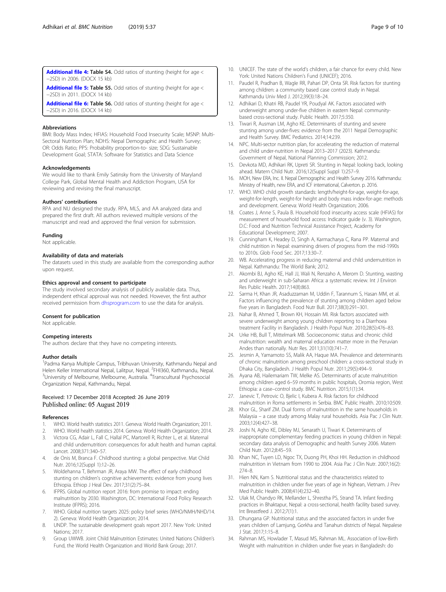<span id="page-8-0"></span>[Additional file 4:](https://doi.org/10.1186/s40795-019-0300-0) Table S4. Odd ratios of stunting (height for age < −2SD) in 2006. (DOCX 15 kb)

[Additional file 5:](https://doi.org/10.1186/s40795-019-0300-0) Table S5. Odd ratios of stunting (height for age < −2SD) in 2011. (DOCX 14 kb)

[Additional file 6:](https://doi.org/10.1186/s40795-019-0300-0) Table S6. Odd ratios of stunting (height for age < −2SD) in 2016. (DOCX 14 kb)

#### Abbreviations

BMI: Body Mass Index; HFIAS: Household Food Insecurity Scale; MSNP: Multi-Sectoral Nutrition Plan; NDHS: Nepal Demographic and Health Survey; OR: Odds Ratio; PPS: Probability proportion-to- size; SDG: Sustainable Development Goal; STATA: Software for Statistics and Data Science

#### Acknowledgements

We would like to thank Emily Satinsky from the University of Maryland College Park, Global Mental Health and Addiction Program, USA for reviewing and revising the final manuscript.

#### Authors' contributions

RPA and NU designed the study. RPA, MLS, and AA analyzed data and prepared the first draft. All authors reviewed multiple versions of the manuscript and read and approved the final version for submission.

#### Funding

Not applicable.

#### Availability of data and materials

The datasets used in this study are available from the corresponding author upon request.

#### Ethics approval and consent to participate

The study involved secondary analysis of publicly available data. Thus, independent ethical approval was not needed. However, the first author received permission from [dhsprogram.com](http://dhsprogram.com) to use the data for analysis.

#### Consent for publication

Not applicable.

#### Competing interests

The authors declare that they have no competing interests.

#### Author details

<sup>1</sup> Padma Kanya Multiple Campus, Tribhuvan University, Kathmandu Nepal and Helen Keller International Nepal, Lalitpur, Nepal. <sup>2</sup>FHI360, Kathmandu, Nepal.<br><sup>3</sup>Lloiversity of Molbourne, Molbourne, Australia, <sup>4</sup>Transsultural Psychosocial. University of Melbourne, Melbourne, Australia. <sup>4</sup>Transcultural Psychosocial Organization Nepal, Kathmandu, Nepal.

#### Received: 17 December 2018 Accepted: 26 June 2019 Published online: 05 August 2019

#### References

- 1. WHO. World health statistics 2011. Geneva: World Health Organization; 2011.
- 2. WHO. World health statistics 2014. Geneva: World Health Organization; 2014. 3. Victora CG, Adair L, Fall C, Hallal PC, Martorell R, Richter L, et al. Maternal
- and child undernutrition: consequences for adult health and human capital. Lancet. 2008;371:340–57.
- 4. de Onis M, Branca F. Childhood stunting: a global perspective. Mat Child Nutr. 2016;12(Suppl 1):12–26.
- 5. Woldehanna T, Behrman JR, Araya MW. The effect of early childhood stunting on children's cognitive achievements: evidence from young lives Ethiopia. Ethiop J Heal Dev. 2017;31(2):75–84.
- 6. IFPRS. Global nutrition report 2016: from promise to impact: ending malnutrition by 2030. Washington, DC: International Food Policy Research Institute (IFPRS); 2016.
- 7. WHO. Global nutrition targets 2025: policy brief series (WHO/NMH/NHD/14. 2). Geneva: World Health Organization; 2014.
- 8. UNDP. The sustainable development goals report 2017. New York: United Nations; 2017.
- Group UWWB. Joint Child Malnutrition Estimates: United Nations Children's Fund, the World Health Organization and World Bank Group; 2017.
- 10. UNICEF. The state of the world's children, a fair chance for every child. New York: United Nations Children's Fund (UNICEF); 2016.
- 11. Paudel R, Pradhan B, Wagle RR, Pahari DP, Onta SR. Risk factors for stunting among children: a community based case control study in Nepal. Kathmandu Univ Med J. 2012;39(3):18–24.
- 12. Adhikari D, Khatri RB, Paudel YR, Poudyal AK. Factors associated with underweight among under-five children in eastern Nepal: communitybased cross-sectional study. Public Health. 2017;5:350.
- 13. Tiwari R, Ausman LM, Agho KE. Determinants of stunting and severe stunting among under-fives: evidence from the 2011 Nepal Demographic and Health Survey. BMC Pediatrics. 2014;14:239.
- 14. NPC. Multi-sector nutrition plan, for accelerating the reduction of maternal and child under-nutrition in Nepal 2013–2017 (2023). Kathmandu: Government of Nepal, National Planning Commission; 2012.
- 15. Devkota MD, Adhikari RK, Upreti SR. Stunting in Nepal: looking back, looking ahead. Matern Child Nutr. 2016;12(Suppl Suppl 1):257–9.
- 16. MOH, New ERA, Inc. II. Nepal Demographic and Health Survey 2016. Kathmandu: Ministry of Health, new ERA, and ICF international, Calverton. p. 2016.
- 17. WHO. WHO child growth standards: length/height-for-age, weight-for-age, weight-for-length, weight-for height and body mass index-for-age: methods and development. Geneva: World Health Organization; 2006.
- 18. Coates J, Anne S, Paula B. Household food insecurity access scale (HFIAS) for measurement of household food access: Indicator guide (v. 3). Washington, D.C: Food and Nutrition Technical Assistance Project, Academy for Educational Development; 2007.
- 19. Cunningham K, Headey D, Singh A, Karmacharya C, Rana PP. Maternal and child nutrition in Nepal: examining drivers of progress from the mid-1990s to 2010s. Glob Food Sec. 2017;13:30–7.
- 20. WB. Accelerating progress in reducing maternal and child undernutrition in Nepal. Kathmandu: The World Bank; 2012.
- 21. Akombi BJ, Agho KE, Hall JJ, Wali N, Renzaho A, Merom D. Stunting, wasting and underweight in sub-Saharan Africa: a systematic review. Int J Environ Res Public Health. 2017;14(8):863.
- 22. Sarma H, Khan JR, Asaduzzaman M, Uddin F, Tarannum S, Hasan MM, et al. Factors influencing the prevalence of stunting among children aged below five years in Bangladesh. Food Nutr Bull. 2017;38(3):291–301.
- 23. Nahar B, Ahmed T, Brown KH, Hossain MI. Risk factors associated with severe underweight among young children reporting to a Diarrhoea treatment Facility in Bangladesh. J Health Popul Nutr. 2010;28(5):476–83.
- 24. Urke HB, Bull T, Mittelmark MB. Socioeconomic status and chronic child malnutrition: wealth and maternal education matter more in the Peruvian Andes than nationally. Nutr Res. 2011;31(10):741–7.
- 25. Jesmin A, Yamamoto SS, Malik AA, Haque MA. Prevalence and determinants of chronic malnutrition among preschool children: a cross-sectional study in Dhaka City, Bangladesh. J Health Popul Nutr. 2011;29(5):494–9.
- 26. Ayana AB, Hailemariam TW, Melke AS. Determinants of acute malnutrition among children aged 6–59 months in public hospitals, Oromia region, West Ethiopia: a case–control study. BMC Nutrition. 2015;1(1):34.
- 27. Janevic T, Petrovic O, Bjelic I, Kubera A. Risk factors for childhood malnutrition in Roma settlements in Serbia. BMC Public Health. 2010;10:509.
- 28. Khor GL, Sharif ZM. Dual forms of malnutrition in the same households in Malaysia – a case study among Malay rural households. Asia Pac J Clin Nutr. 2003;12(4):427–38.
- 29. Joshi N, Agho KE, Dibley MJ, Senarath U, Tiwari K. Determinants of inappropriate complementary feeding practices in young children in Nepal: secondary data analysis of Demographic and health Survey 2006. Matern Child Nutr. 2012;8:45–59.
- 30. Khan NC, Tuyen LD, Ngoc TX, Duong PH, Khoi HH. Reduction in childhood malnutrition in Vietnam from 1990 to 2004. Asia Pac J Clin Nutr. 2007;16(2): 274–8.
- 31. Hien NN, Kam S. Nutritional status and the characteristics related to malnutrition in children under five years of age in Nghean, Vietnam. J Prev Med Public Health. 2008;41(4):232–40.
- 32. Ulak M, Chandyo RK, Mellander L, Shrestha PS, Strand TA. Infant feeding practices in Bhaktapur, Nepal: a cross-sectional, health facility based survey. Int Breastfeed J. 2012;7(1):1.
- 33. Dhungana GP. Nutritional status and the associated factors in under five years children of Lamjung, Gorkha and Tanahun districts of Nepal. Nepalese J Stat. 2017;1:15–8.
- 34. Rahman MS, Howlader T, Masud MS, Rahman ML. Association of low-Birth Weight with malnutrition in children under five years in Bangladesh: do